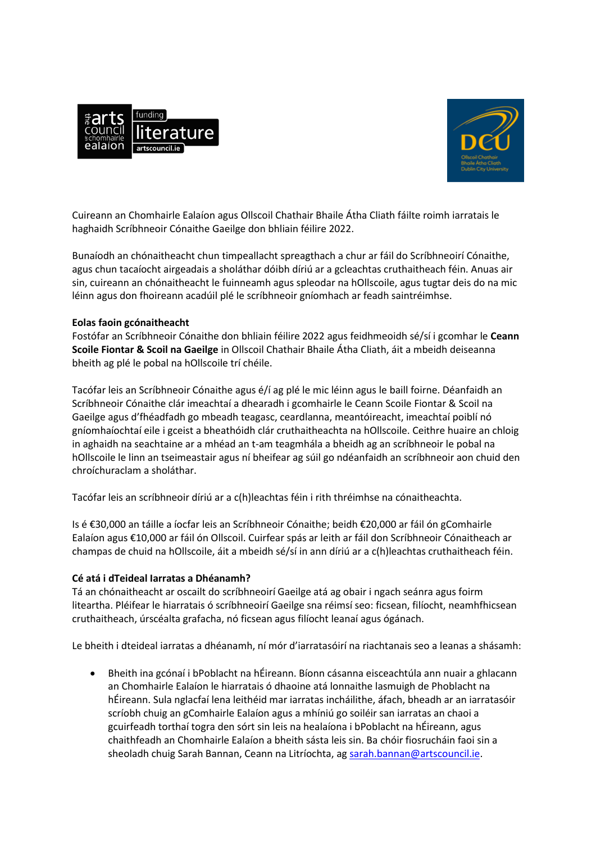



Cuireann an Chomhairle Ealaíon agus Ollscoil Chathair Bhaile Átha Cliath fáilte roimh iarratais le haghaidh Scríbhneoir Cónaithe Gaeilge don bhliain féilire 2022.

Bunaíodh an chónaitheacht chun timpeallacht spreagthach a chur ar fáil do Scríbhneoirí Cónaithe, agus chun tacaíocht airgeadais a sholáthar dóibh díriú ar a gcleachtas cruthaitheach féin. Anuas air sin, cuireann an chónaitheacht le fuinneamh agus spleodar na hOllscoile, agus tugtar deis do na mic léinn agus don fhoireann acadúil plé le scríbhneoir gníomhach ar feadh saintréimhse.

## **Eolas faoin gcónaitheacht**

Fostófar an Scríbhneoir Cónaithe don bhliain féilire 2022 agus feidhmeoidh sé/sí i gcomhar le **Ceann Scoile Fiontar & Scoil na Gaeilge** in Ollscoil Chathair Bhaile Átha Cliath, áit a mbeidh deiseanna bheith ag plé le pobal na hOllscoile trí chéile.

Tacófar leis an Scríbhneoir Cónaithe agus é/í ag plé le mic léinn agus le baill foirne. Déanfaidh an Scríbhneoir Cónaithe clár imeachtaí a dhearadh i gcomhairle le Ceann Scoile Fiontar & Scoil na Gaeilge agus d'fhéadfadh go mbeadh teagasc, ceardlanna, meantóireacht, imeachtaí poiblí nó gníomhaíochtaí eile i gceist a bheathóidh clár cruthaitheachta na hOllscoile. Ceithre huaire an chloig in aghaidh na seachtaine ar a mhéad an t-am teagmhála a bheidh ag an scríbhneoir le pobal na hOllscoile le linn an tseimeastair agus ní bheifear ag súil go ndéanfaidh an scríbhneoir aon chuid den chroíchuraclam a sholáthar.

Tacófar leis an scríbhneoir díriú ar a c(h)leachtas féin i rith thréimhse na cónaitheachta.

Is é €30,000 an táille a íocfar leis an Scríbhneoir Cónaithe; beidh €20,000 ar fáil ón gComhairle Ealaíon agus €10,000 ar fáil ón Ollscoil. Cuirfear spás ar leith ar fáil don Scríbhneoir Cónaitheach ar champas de chuid na hOllscoile, áit a mbeidh sé/sí in ann díriú ar a c(h)leachtas cruthaitheach féin.

# **Cé atá i dTeideal Iarratas a Dhéanamh?**

Tá an chónaitheacht ar oscailt do scríbhneoirí Gaeilge atá ag obair i ngach seánra agus foirm liteartha. Pléifear le hiarratais ó scríbhneoirí Gaeilge sna réimsí seo: ficsean, filíocht, neamhfhicsean cruthaitheach, úrscéalta grafacha, nó ficsean agus filíocht leanaí agus ógánach.

Le bheith i dteideal iarratas a dhéanamh, ní mór d'iarratasóirí na riachtanais seo a leanas a shásamh:

 Bheith ina gcónaí i bPoblacht na hÉireann. Bíonn cásanna eisceachtúla ann nuair a ghlacann an Chomhairle Ealaíon le hiarratais ó dhaoine atá lonnaithe lasmuigh de Phoblacht na hÉireann. Sula nglacfaí lena leithéid mar iarratas incháilithe, áfach, bheadh ar an iarratasóir scríobh chuig an gComhairle Ealaíon agus a mhíniú go soiléir san iarratas an chaoi a gcuirfeadh torthaí togra den sórt sin leis na healaíona i bPoblacht na hÉireann, agus chaithfeadh an Chomhairle Ealaíon a bheith sásta leis sin. Ba chóir fiosrucháin faoi sin a sheoladh chuig Sarah Bannan, Ceann na Litríochta, ag [sarah.bannan@artscouncil.ie.](mailto:sarah.bannan@artscouncil.ie)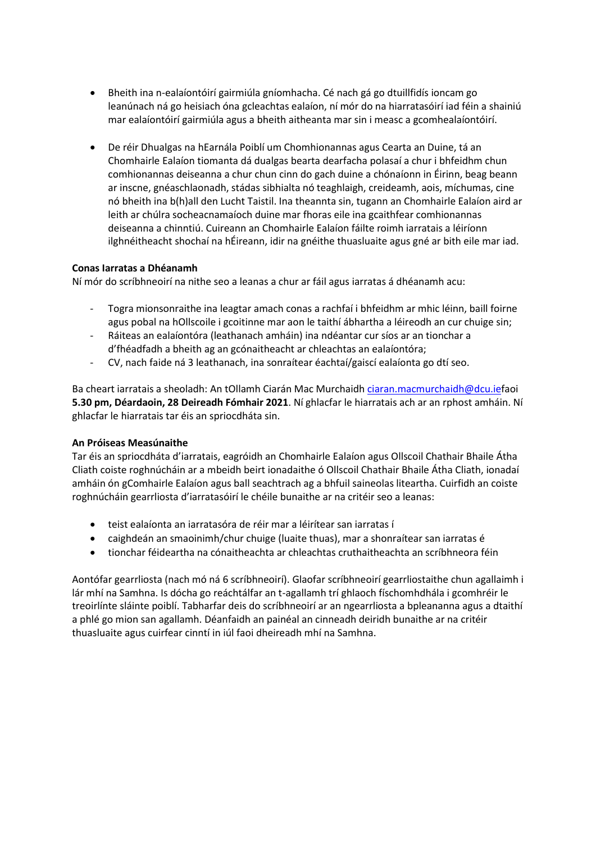- Bheith ina n-ealaíontóirí gairmiúla gníomhacha. Cé nach gá go dtuillfidís ioncam go leanúnach ná go heisiach óna gcleachtas ealaíon, ní mór do na hiarratasóirí iad féin a shainiú mar ealaíontóirí gairmiúla agus a bheith aitheanta mar sin i measc a gcomhealaíontóirí.
- De réir Dhualgas na hEarnála Poiblí um Chomhionannas agus Cearta an Duine, tá an Chomhairle Ealaíon tiomanta dá dualgas bearta dearfacha polasaí a chur i bhfeidhm chun comhionannas deiseanna a chur chun cinn do gach duine a chónaíonn in Éirinn, beag beann ar inscne, gnéaschlaonadh, stádas sibhialta nó teaghlaigh, creideamh, aois, míchumas, cine nó bheith ina b(h)all den Lucht Taistil. Ina theannta sin, tugann an Chomhairle Ealaíon aird ar leith ar chúlra socheacnamaíoch duine mar fhoras eile ina gcaithfear comhionannas deiseanna a chinntiú. Cuireann an Chomhairle Ealaíon fáilte roimh iarratais a léiríonn ilghnéitheacht shochaí na hÉireann, idir na gnéithe thuasluaite agus gné ar bith eile mar iad.

## **Conas Iarratas a Dhéanamh**

Ní mór do scríbhneoirí na nithe seo a leanas a chur ar fáil agus iarratas á dhéanamh acu:

- Togra mionsonraithe ina leagtar amach conas a rachfaí i bhfeidhm ar mhic léinn, baill foirne agus pobal na hOllscoile i gcoitinne mar aon le taithí ábhartha a léireodh an cur chuige sin;
- Ráiteas an ealaíontóra (leathanach amháin) ina ndéantar cur síos ar an tionchar a d'fhéadfadh a bheith ag an gcónaitheacht ar chleachtas an ealaíontóra;
- CV, nach faide ná 3 leathanach, ina sonraítear éachtaí/gaiscí ealaíonta go dtí seo.

Ba cheart iarratais a sheoladh: An tOllamh Ciarán Mac Murchaidh [ciaran.macmurchaidh@dcu.ief](mailto:ciaran.macmurchaidh@dcu.ie)aoi **5.30 pm, Déardaoin, 28 Deireadh Fómhair 2021**. Ní ghlacfar le hiarratais ach ar an rphost amháin. Ní ghlacfar le hiarratais tar éis an spriocdháta sin.

## **An Próiseas Measúnaithe**

Tar éis an spriocdháta d'iarratais, eagróidh an Chomhairle Ealaíon agus Ollscoil Chathair Bhaile Átha Cliath coiste roghnúcháin ar a mbeidh beirt ionadaithe ó Ollscoil Chathair Bhaile Átha Cliath, ionadaí amháin ón gComhairle Ealaíon agus ball seachtrach ag a bhfuil saineolas liteartha. Cuirfidh an coiste roghnúcháin gearrliosta d'iarratasóirí le chéile bunaithe ar na critéir seo a leanas:

- teist ealaíonta an iarratasóra de réir mar a léirítear san iarratas í
- caighdeán an smaoinimh/chur chuige (luaite thuas), mar a shonraítear san iarratas é
- tionchar féideartha na cónaitheachta ar chleachtas cruthaitheachta an scríbhneora féin

Aontófar gearrliosta (nach mó ná 6 scríbhneoirí). Glaofar scríbhneoirí gearrliostaithe chun agallaimh i lár mhí na Samhna. Is dócha go reáchtálfar an t-agallamh trí ghlaoch físchomhdhála i gcomhréir le treoirlínte sláinte poiblí. Tabharfar deis do scríbhneoirí ar an ngearrliosta a bpleananna agus a dtaithí a phlé go mion san agallamh. Déanfaidh an painéal an cinneadh deiridh bunaithe ar na critéir thuasluaite agus cuirfear cinntí in iúl faoi dheireadh mhí na Samhna.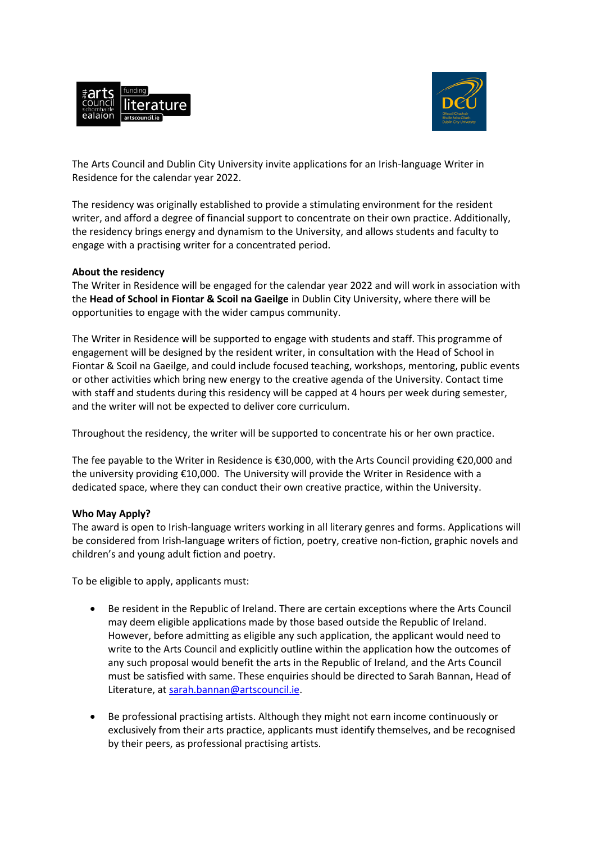



The Arts Council and Dublin City University invite applications for an Irish-language Writer in Residence for the calendar year 2022.

The residency was originally established to provide a stimulating environment for the resident writer, and afford a degree of financial support to concentrate on their own practice. Additionally, the residency brings energy and dynamism to the University, and allows students and faculty to engage with a practising writer for a concentrated period.

## **About the residency**

The Writer in Residence will be engaged for the calendar year 2022 and will work in association with the **Head of School in Fiontar & Scoil na Gaeilge** in Dublin City University, where there will be opportunities to engage with the wider campus community.

The Writer in Residence will be supported to engage with students and staff. This programme of engagement will be designed by the resident writer, in consultation with the Head of School in Fiontar & Scoil na Gaeilge, and could include focused teaching, workshops, mentoring, public events or other activities which bring new energy to the creative agenda of the University. Contact time with staff and students during this residency will be capped at 4 hours per week during semester, and the writer will not be expected to deliver core curriculum.

Throughout the residency, the writer will be supported to concentrate his or her own practice.

The fee payable to the Writer in Residence is €30,000, with the Arts Council providing €20,000 and the university providing €10,000. The University will provide the Writer in Residence with a dedicated space, where they can conduct their own creative practice, within the University.

## **Who May Apply?**

The award is open to Irish-language writers working in all literary genres and forms. Applications will be considered from Irish-language writers of fiction, poetry, creative non-fiction, graphic novels and children's and young adult fiction and poetry.

To be eligible to apply, applicants must:

- Be resident in the Republic of Ireland. There are certain exceptions where the Arts Council may deem eligible applications made by those based outside the Republic of Ireland. However, before admitting as eligible any such application, the applicant would need to write to the Arts Council and explicitly outline within the application how the outcomes of any such proposal would benefit the arts in the Republic of Ireland, and the Arts Council must be satisfied with same. These enquiries should be directed to Sarah Bannan, Head of Literature, at [sarah.bannan@artscouncil.ie.](mailto:sarah.bannan@artscouncil.ie)
- Be professional practising artists. Although they might not earn income continuously or exclusively from their arts practice, applicants must identify themselves, and be recognised by their peers, as professional practising artists.